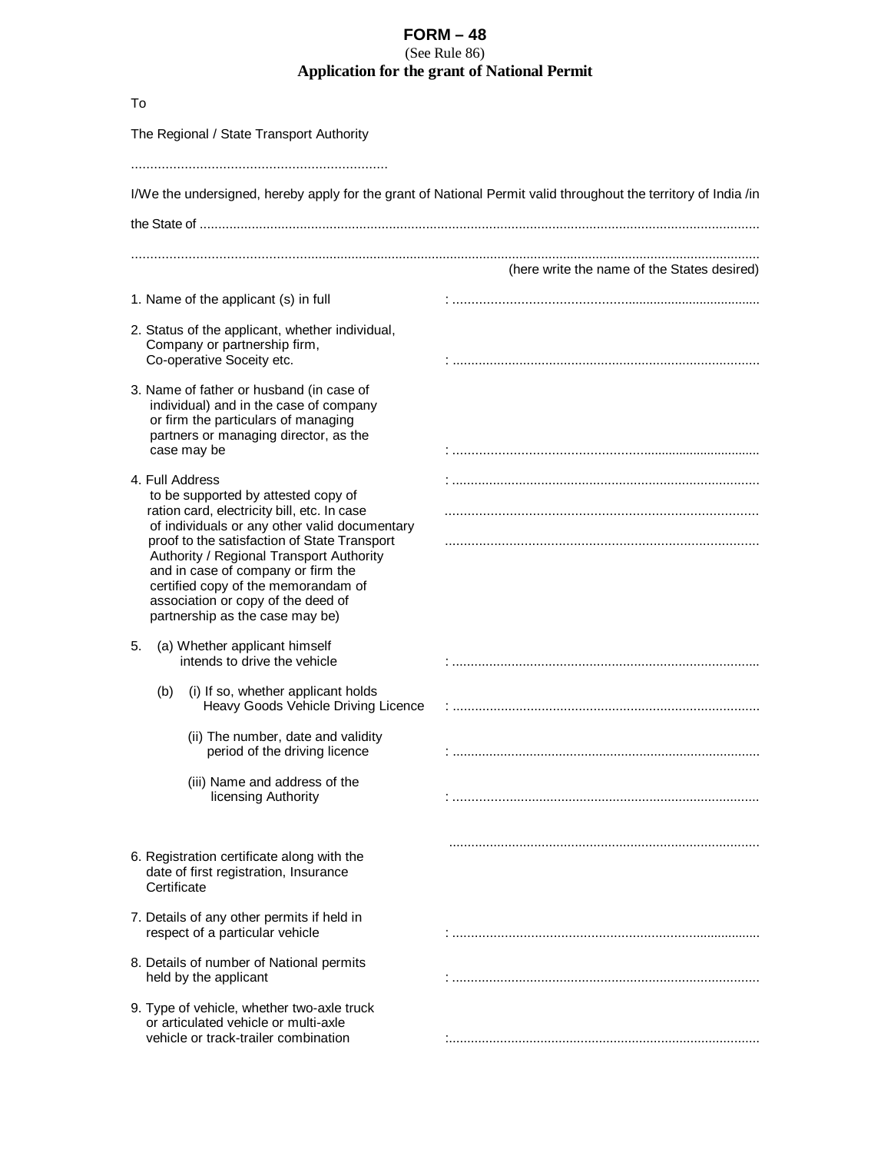## **FORM – 48**

(See Rule 86)

## **Application for the grant of National Permit**

| To                                                                                                                                                                                                                                                                                              |                                                                                                                 |
|-------------------------------------------------------------------------------------------------------------------------------------------------------------------------------------------------------------------------------------------------------------------------------------------------|-----------------------------------------------------------------------------------------------------------------|
| The Regional / State Transport Authority                                                                                                                                                                                                                                                        |                                                                                                                 |
|                                                                                                                                                                                                                                                                                                 |                                                                                                                 |
|                                                                                                                                                                                                                                                                                                 | I/We the undersigned, hereby apply for the grant of National Permit valid throughout the territory of India /in |
|                                                                                                                                                                                                                                                                                                 |                                                                                                                 |
|                                                                                                                                                                                                                                                                                                 | (here write the name of the States desired)                                                                     |
| 1. Name of the applicant (s) in full                                                                                                                                                                                                                                                            |                                                                                                                 |
| 2. Status of the applicant, whether individual,<br>Company or partnership firm,<br>Co-operative Soceity etc.                                                                                                                                                                                    |                                                                                                                 |
| 3. Name of father or husband (in case of<br>individual) and in the case of company<br>or firm the particulars of managing<br>partners or managing director, as the<br>case may be                                                                                                               |                                                                                                                 |
| 4. Full Address<br>to be supported by attested copy of<br>ration card, electricity bill, etc. In case                                                                                                                                                                                           |                                                                                                                 |
| of individuals or any other valid documentary<br>proof to the satisfaction of State Transport<br>Authority / Regional Transport Authority<br>and in case of company or firm the<br>certified copy of the memorandam of<br>association or copy of the deed of<br>partnership as the case may be) |                                                                                                                 |
| (a) Whether applicant himself<br>5.<br>intends to drive the vehicle                                                                                                                                                                                                                             |                                                                                                                 |
| (b)<br>(i) If so, whether applicant holds<br>Heavy Goods Vehicle Driving Licence                                                                                                                                                                                                                |                                                                                                                 |
| (ii) The number, date and validity<br>period of the driving licence                                                                                                                                                                                                                             |                                                                                                                 |
| (iii) Name and address of the<br>licensing Authority                                                                                                                                                                                                                                            |                                                                                                                 |
| 6. Registration certificate along with the<br>date of first registration, Insurance<br>Certificate                                                                                                                                                                                              |                                                                                                                 |
| 7. Details of any other permits if held in<br>respect of a particular vehicle                                                                                                                                                                                                                   |                                                                                                                 |
| 8. Details of number of National permits<br>held by the applicant                                                                                                                                                                                                                               |                                                                                                                 |
| 9. Type of vehicle, whether two-axle truck<br>or articulated vehicle or multi-axle<br>vehicle or track-trailer combination                                                                                                                                                                      |                                                                                                                 |